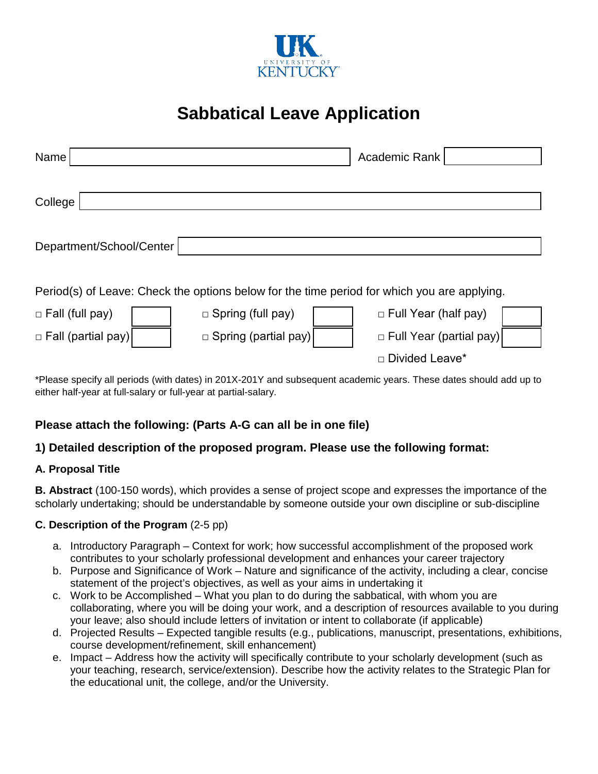

# **Sabbatical Leave Application**

| Name                                                                                        |                             | Academic Rank                  |  |  |  |  |  |  |
|---------------------------------------------------------------------------------------------|-----------------------------|--------------------------------|--|--|--|--|--|--|
| College                                                                                     |                             |                                |  |  |  |  |  |  |
| Department/School/Center                                                                    |                             |                                |  |  |  |  |  |  |
| Period(s) of Leave: Check the options below for the time period for which you are applying. |                             |                                |  |  |  |  |  |  |
| $\Box$ Fall (full pay)                                                                      | $\Box$ Spring (full pay)    | $\Box$ Full Year (half pay)    |  |  |  |  |  |  |
| □ Fall (partial pay)                                                                        | $\Box$ Spring (partial pay) | $\Box$ Full Year (partial pay) |  |  |  |  |  |  |
|                                                                                             |                             | □ Divided Leave*               |  |  |  |  |  |  |

\*Please specify all periods (with dates) in 201X-201Y and subsequent academic years. These dates should add up to either half-year at full-salary or full-year at partial-salary.

# **Please attach the following: (Parts A-G can all be in one file)**

## **1) Detailed description of the proposed program. Please use the following format:**

#### **A. Proposal Title**

**B. Abstract** (100-150 words), which provides a sense of project scope and expresses the importance of the scholarly undertaking; should be understandable by someone outside your own discipline or sub-discipline

#### **C. Description of the Program** (2-5 pp)

- a. Introductory Paragraph Context for work; how successful accomplishment of the proposed work contributes to your scholarly professional development and enhances your career trajectory
- b. Purpose and Significance of Work Nature and significance of the activity, including a clear, concise statement of the project's objectives, as well as your aims in undertaking it
- c. Work to be Accomplished What you plan to do during the sabbatical, with whom you are collaborating, where you will be doing your work, and a description of resources available to you during your leave; also should include letters of invitation or intent to collaborate (if applicable)
- d. Projected Results Expected tangible results (e.g., publications, manuscript, presentations, exhibitions, course development/refinement, skill enhancement)
- e. Impact Address how the activity will specifically contribute to your scholarly development (such as your teaching, research, service/extension). Describe how the activity relates to the Strategic Plan for the educational unit, the college, and/or the University.